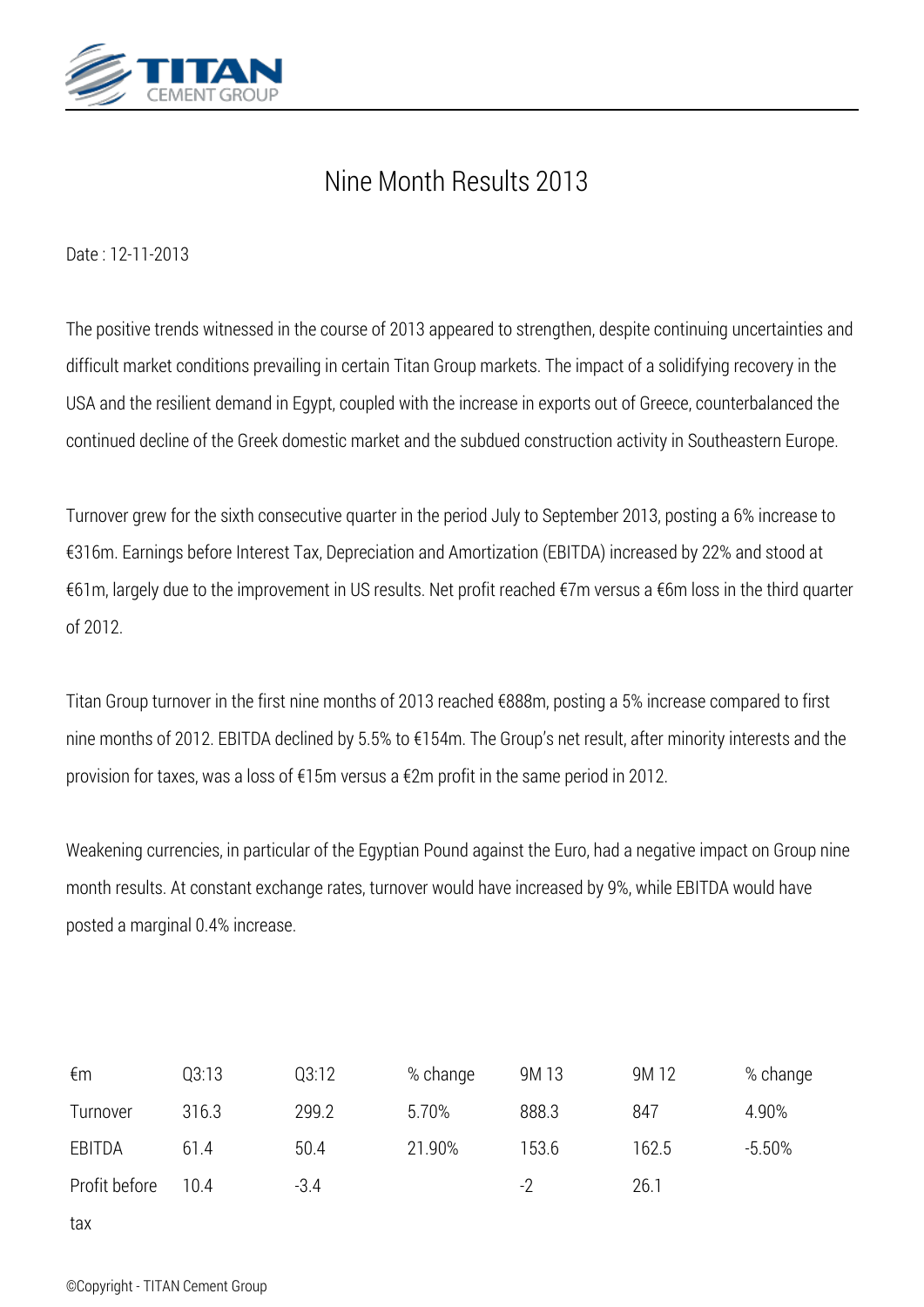

## *Nine Month Results 2013*

*Date : 12-11-2013*

*The positive trends witnessed in the course of 2013 appeared to strengthen, despite continuing uncertainties and difficult market conditions prevailing in certain Titan Group markets. The impact of a solidifying recovery in the USA and the resilient demand in Egypt, coupled with the increase in exports out of Greece, counterbalanced the continued decline of the Greek domestic market and the subdued construction activity in Southeastern Europe.*

*Turnover grew for the sixth consecutive quarter in the period July to September 2013, posting a 6% increase to €316m. Earnings before Interest Tax, Depreciation and Amortization (EBITDA) increased by 22% and stood at €61m, largely due to the improvement in US results. Net profit reached €7m versus a €6m loss in the third quarter of 2012.*

*Titan Group turnover in the first nine months of 2013 reached €888m, posting a 5% increase compared to first nine months of 2012. EBITDA declined by 5.5% to €154m. The Group's net result, after minority interests and the provision for taxes, was a loss of €15m versus a €2m profit in the same period in 2012.*

*Weakening currencies, in particular of the Egyptian Pound against the Euro, had a negative impact on Group nine month results. At constant exchange rates, turnover would have increased by 9%, while EBITDA would have posted a marginal 0.4% increase.*

| €m            | Q3:13 | Q3:12  | % change | 9M 13 | 9M 12 | % change |
|---------------|-------|--------|----------|-------|-------|----------|
| Turnover      | 316.3 | 299.2  | 5.70%    | 888.3 | 847   | 4.90%    |
| EBITDA        | 61.4  | 50.4   | 21.90%   | 153.6 | 162.5 | $-5.50%$ |
| Profit before | 10.4  | $-3.4$ |          | -2    | 26.1  |          |
| tax           |       |        |          |       |       |          |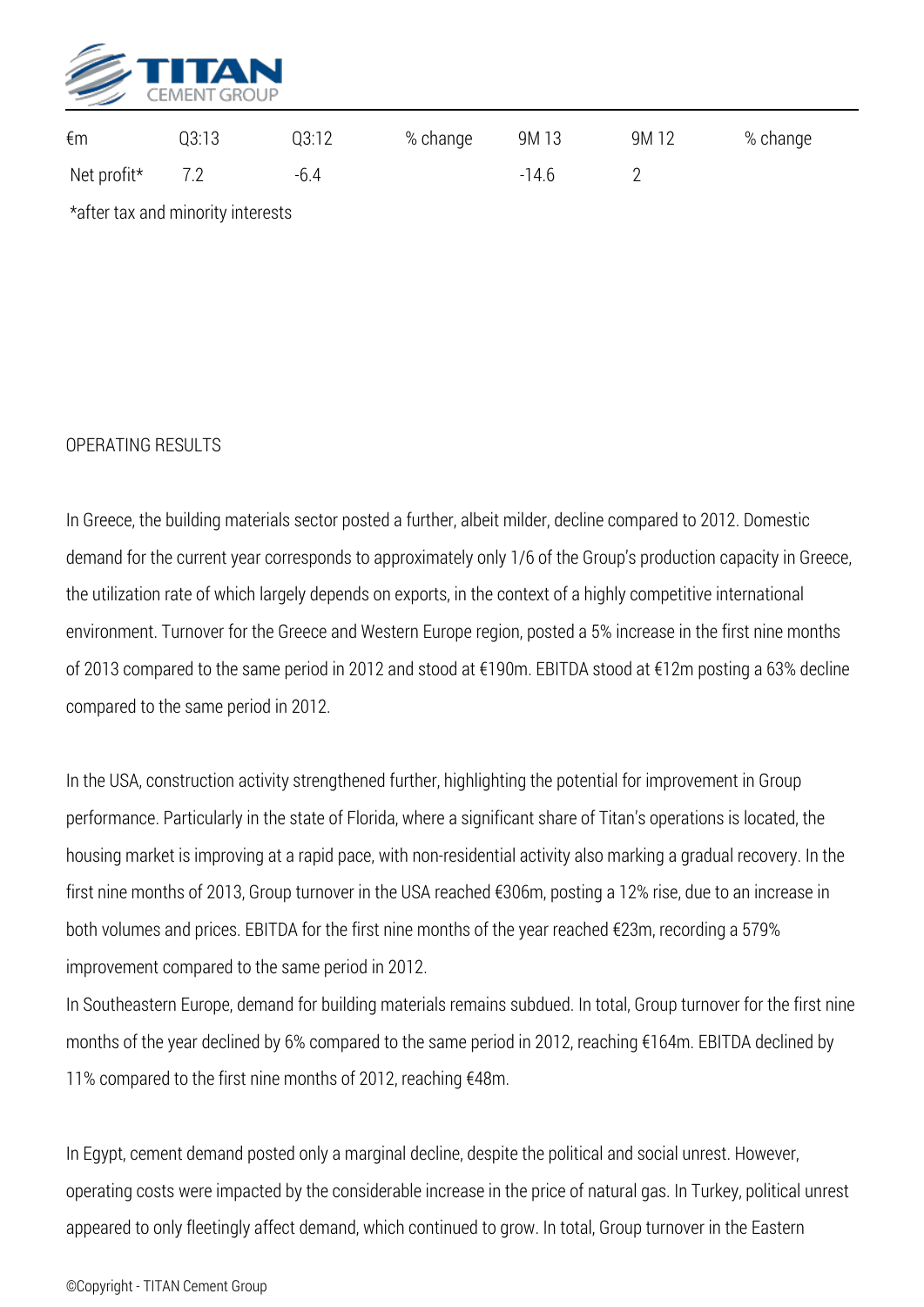

| €m          | Q3:13 | Q3:12 | % change | 9M 13   | 9M 12 | % change |
|-------------|-------|-------|----------|---------|-------|----------|
| Net profit* | 7.2   | -6.4  |          | $-14.6$ |       |          |
|             |       |       |          |         |       |          |

*\*after tax and minority interests*

## *OPERATING RESULTS*

*In Greece, the building materials sector posted a further, albeit milder, decline compared to 2012. Domestic demand for the current year corresponds to approximately only 1/6 of the Group's production capacity in Greece, the utilization rate of which largely depends on exports, in the context of a highly competitive international environment. Turnover for the Greece and Western Europe region, posted a 5% increase in the first nine months of 2013 compared to the same period in 2012 and stood at €190m. EBITDA stood at €12m posting a 63% decline compared to the same period in 2012.*

*In the USA, construction activity strengthened further, highlighting the potential for improvement in Group performance. Particularly in the state of Florida, where a significant share of Titan's operations is located, the housing market is improving at a rapid pace, with non-residential activity also marking a gradual recovery. In the first nine months of 2013, Group turnover in the USA reached €306m, posting a 12% rise, due to an increase in both volumes and prices. EBITDA for the first nine months of the year reached €23m, recording a 579% improvement compared to the same period in 2012.*

*In Southeastern Europe, demand for building materials remains subdued. In total, Group turnover for the first nine months of the year declined by 6% compared to the same period in 2012, reaching €164m. EBITDA declined by 11% compared to the first nine months of 2012, reaching €48m.*

*In Egypt, cement demand posted only a marginal decline, despite the political and social unrest. However, operating costs were impacted by the considerable increase in the price of natural gas. In Turkey, political unrest appeared to only fleetingly affect demand, which continued to grow. In total, Group turnover in the Eastern*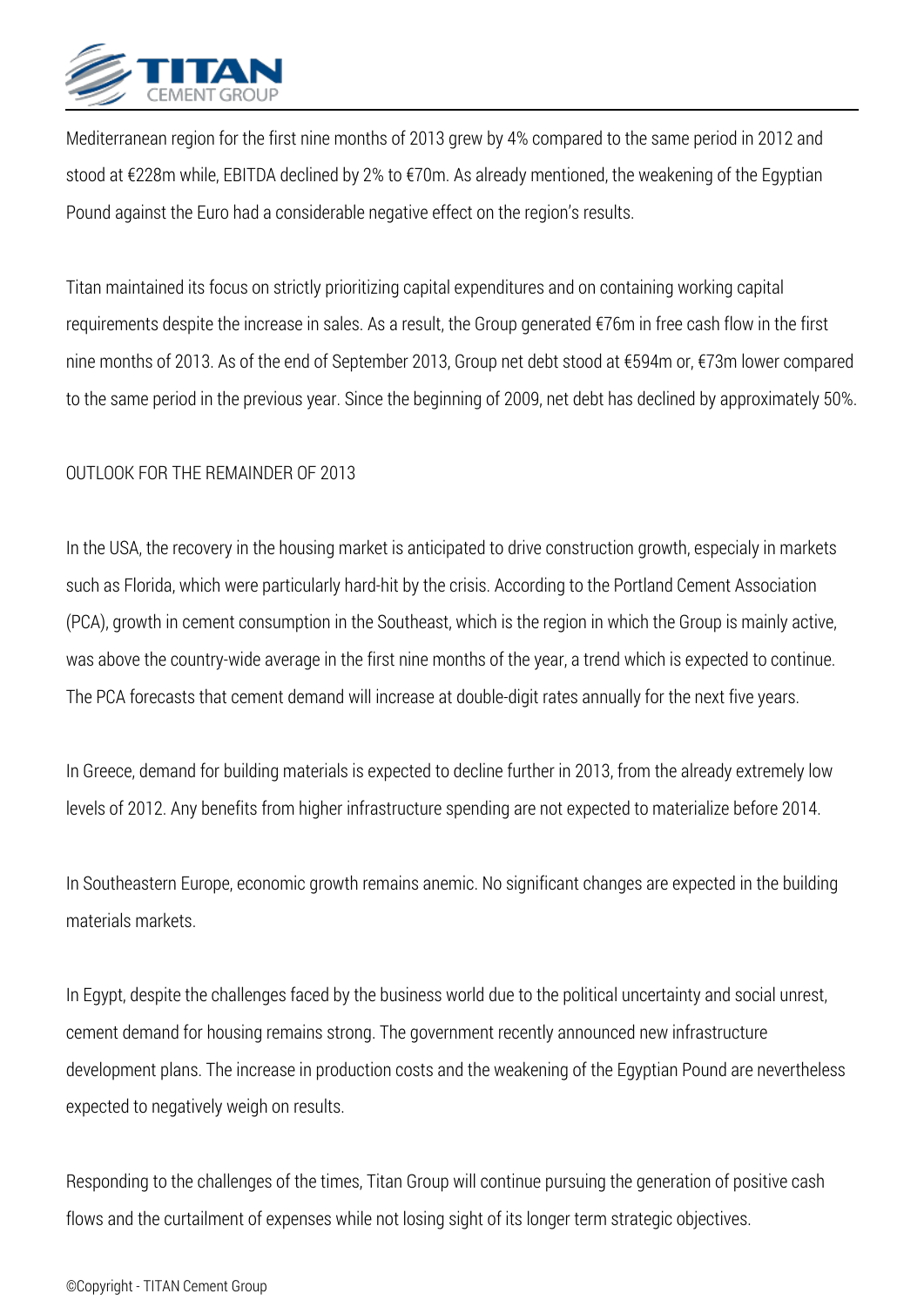

*Mediterranean region for the first nine months of 2013 grew by 4% compared to the same period in 2012 and stood at €228m while, EBITDA declined by 2% to €70m. As already mentioned, the weakening of the Egyptian Pound against the Euro had a considerable negative effect on the region's results.*

*Titan maintained its focus on strictly prioritizing capital expenditures and on containing working capital requirements despite the increase in sales. As a result, the Group generated €76m in free cash flow in the first nine months of 2013. As of the end of September 2013, Group net debt stood at €594m or, €73m lower compared to the same period in the previous year. Since the beginning of 2009, net debt has declined by approximately 50%.*

## *OUTLOOK FOR THE REMAINDER OF 2013*

*In the USA, the recovery in the housing market is anticipated to drive construction growth, especialy in markets such as Florida, which were particularly hard-hit by the crisis. According to the Portland Cement Association (PCA), growth in cement consumption in the Southeast, which is the region in which the Group is mainly active, was above the country-wide average in the first nine months of the year, a trend which is expected to continue. The PCA forecasts that cement demand will increase at double-digit rates annually for the next five years.*

*In Greece, demand for building materials is expected to decline further in 2013, from the already extremely low levels of 2012. Any benefits from higher infrastructure spending are not expected to materialize before 2014.*

*In Southeastern Europe, economic growth remains anemic. No significant changes are expected in the building materials markets.*

*In Egypt, despite the challenges faced by the business world due to the political uncertainty and social unrest, cement demand for housing remains strong. The government recently announced new infrastructure development plans. The increase in production costs and the weakening of the Egyptian Pound are nevertheless expected to negatively weigh on results.*

*Responding to the challenges of the times, Titan Group will continue pursuing the generation of positive cash flows and the curtailment of expenses while not losing sight of its longer term strategic objectives.*